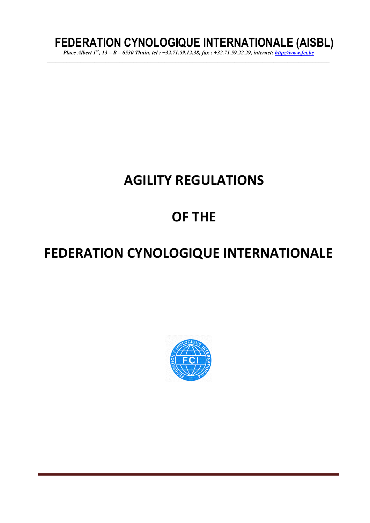# **FEDERATION CYNOLOGIQUE INTERNATIONALE (AISBL)**

*Place Albert 1er, 13 – B – 6530 Thuin, tel : +32.71.59.12.38, fax : +32.71.59.22.29, internet: http://www.fci.be \_\_\_\_\_\_\_\_\_\_\_\_\_\_\_\_\_\_\_\_\_\_\_\_\_\_\_\_\_\_\_\_\_\_\_\_\_\_\_\_\_\_\_\_\_\_\_\_\_\_\_\_\_\_\_\_\_\_\_\_\_\_\_\_\_\_\_\_\_\_\_\_\_\_\_\_\_\_\_\_\_\_\_\_\_\_\_\_\_\_\_\_\_\_\_\_\_\_\_\_\_* 

# **AGILITY REGULATIONS**

# **OF THE**

# **FEDERATION CYNOLOGIQUE INTERNATIONALE**

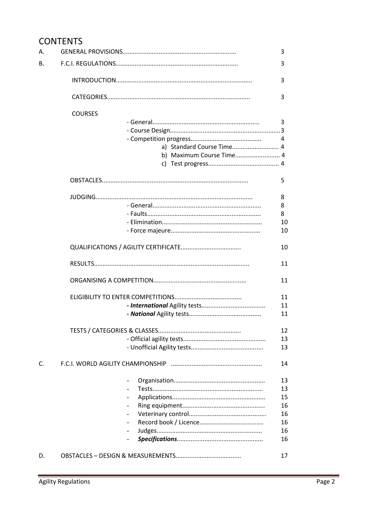# **CONTENTS**

| А.       |                           | 3  |
|----------|---------------------------|----|
| В.       |                           | 3  |
|          |                           | 3  |
|          |                           | 3  |
|          | <b>COURSES</b>            |    |
|          |                           | 3  |
|          |                           |    |
|          | $\overline{4}$            |    |
|          | a) Standard Course Time 4 |    |
|          | b) Maximum Course Time 4  |    |
|          |                           |    |
|          |                           | 5  |
|          |                           | 8  |
|          |                           | 8  |
|          |                           | 8  |
|          |                           | 10 |
|          |                           | 10 |
| C.<br>D. |                           | 10 |
|          |                           | 11 |
|          |                           | 11 |
|          |                           | 11 |
|          |                           | 11 |
|          |                           | 11 |
|          |                           | 12 |
|          |                           | 13 |
|          |                           | 13 |
|          |                           | 14 |
|          |                           | 13 |
|          |                           | 13 |
|          |                           | 15 |
|          |                           | 16 |
|          |                           | 16 |
|          |                           | 16 |
|          |                           | 16 |
|          |                           | 16 |
|          |                           | 17 |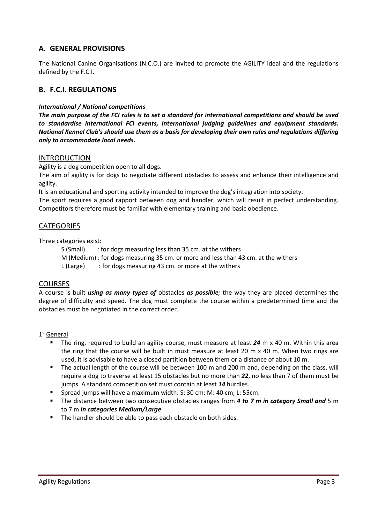# **A. GENERAL PROVISIONS**

The National Canine Organisations (N.C.O.) are invited to promote the AGILITY ideal and the regulations defined by the F.C.I.

# **B. F.C.I. REGULATIONS**

# *International / National competitions*

*The main purpose of the FCI rules is to set a standard for international competitions and should be used to standardise international FCI events, international judging guidelines and equipment standards. National Kennel Club's should use them as a basis for developing their own rules and regulations differing only to accommodate local needs.* 

# INTRODUCTION

Agility is a dog competition open to all dogs.

The aim of agility is for dogs to negotiate different obstacles to assess and enhance their intelligence and agility.

It is an educational and sporting activity intended to improve the dog's integration into society.

The sport requires a good rapport between dog and handler, which will result in perfect understanding. Competitors therefore must be familiar with elementary training and basic obedience.

# **CATEGORIES**

Three categories exist:

S (Small) : for dogs measuring less than 35 cm. at the withers

M (Medium) : for dogs measuring 35 cm. or more and less than 43 cm. at the withers

L (Large) : for dogs measuring 43 cm. or more at the withers

# COURSES

A course is built *using as many types of* obstacles *as possible;* the way they are placed determines the degree of difficulty and speed. The dog must complete the course within a predetermined time and the obstacles must be negotiated in the correct order.

# 1° General

- The ring, required to build an agility course, must measure at least *24* m x 40 m. Within this area the ring that the course will be built in must measure at least 20 m x 40 m. When two rings are used, it is advisable to have a closed partition between them or a distance of about 10 m.
- The actual length of the course will be between 100 m and 200 m and, depending on the class, will require a dog to traverse at least 15 obstacles but no more than *22*, no less than 7 of them must be jumps. A standard competition set must contain at least *14* hurdles.
- Spread jumps will have a maximum width: S: 30 cm; M: 40 cm; L: 55cm.
- **The distance between two consecutive obstacles ranges from 4 to 7 m in category Small and** 5 m to 7 m *in categories Medium/Large*.
- The handler should be able to pass each obstacle on both sides.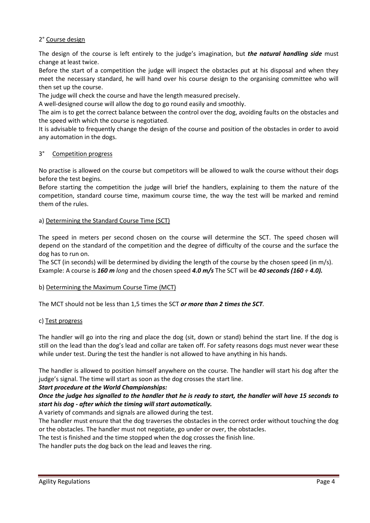# 2° Course design

The design of the course is left entirely to the judge's imagination, but *the natural handling side* must change at least twice.

Before the start of a competition the judge will inspect the obstacles put at his disposal and when they meet the necessary standard, he will hand over his course design to the organising committee who will then set up the course.

The judge will check the course and have the length measured precisely.

A well-designed course will allow the dog to go round easily and smoothly.

The aim is to get the correct balance between the control over the dog, avoiding faults on the obstacles and the speed with which the course is negotiated.

It is advisable to frequently change the design of the course and position of the obstacles in order to avoid any automation in the dogs.

# 3° Competition progress

No practise is allowed on the course but competitors will be allowed to walk the course without their dogs before the test begins.

Before starting the competition the judge will brief the handlers, explaining to them the nature of the competition, standard course time, maximum course time, the way the test will be marked and remind them of the rules.

# a) Determining the Standard Course Time (SCT)

The speed in meters per second chosen on the course will determine the SCT. The speed chosen will depend on the standard of the competition and the degree of difficulty of the course and the surface the dog has to run on.

The SCT (in seconds) will be determined by dividing the length of the course by the chosen speed (in m/s). Example: A course is *160 m long* and the chosen speed *4.0 m/s* The SCT will be *40 seconds (160 ÷ 4.0).* 

# b) Determining the Maximum Course Time (MCT)

The MCT should not be less than 1,5 times the SCT *or more than 2 times the SCT.* 

# c) Test progress

The handler will go into the ring and place the dog (sit, down or stand) behind the start line. If the dog is still on the lead than the dog's lead and collar are taken off. For safety reasons dogs must never wear these while under test. During the test the handler is not allowed to have anything in his hands.

The handler is allowed to position himself anywhere on the course. The handler will start his dog after the judge's signal. The time will start as soon as the dog crosses the start line.

# *Start procedure at the World Championships:*

# *Once the judge has signalled to the handler that he is ready to start, the handler will have 15 seconds to start his dog - after which the timing will start automatically.*

A variety of commands and signals are allowed during the test.

The handler must ensure that the dog traverses the obstacles in the correct order without touching the dog or the obstacles. The handler must not negotiate, go under or over, the obstacles.

The test is finished and the time stopped when the dog crosses the finish line.

The handler puts the dog back on the lead and leaves the ring.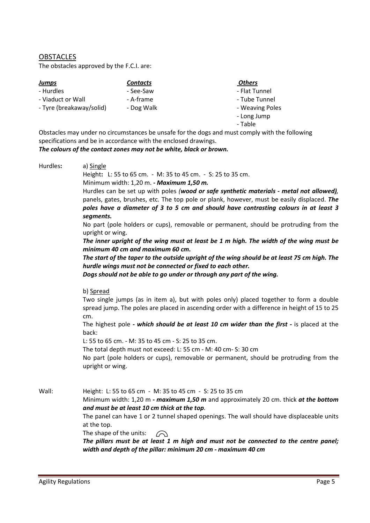**OBSTACLES** 

The obstacles approved by the F.C.I. are:

| <b>Jumps</b>             | <b>Contacts</b> | <b>Others</b>   |
|--------------------------|-----------------|-----------------|
| - Hurdles                | - See-Saw       | - Flat Tunnel   |
| - Viaduct or Wall        | - A-frame       | - Tube Tunnel   |
| - Tyre (breakaway/solid) | - Dog Walk      | - Weaving Poles |
|                          |                 | - Long Jump     |

- Table

Obstacles may under no circumstances be unsafe for the dogs and must comply with the following specifications and be in accordance with the enclosed drawings.

*The colours of the contact zones may not be white, black or brown.* 

Hurdles**:** a) Single

Height**:** L: 55 to 65 cm. - M: 35 to 45 cm. - S: 25 to 35 cm.

Minimum width: 1,20 m. **-** *Maximum 1,50 m.*

Hurdles can be set up with poles *(wood or safe synthetic materials - metal not allowed),* panels, gates, brushes, etc. The top pole or plank, however, must be easily displaced. *The poles have a diameter of 3 to 5 cm and should have contrasting colours in at least 3 segments.*

No part (pole holders or cups), removable or permanent, should be protruding from the upright or wing.

*The inner upright of the wing must at least be 1 m high. The width of the wing must be minimum 40 cm and maximum 60 cm.* 

*The start of the taper to the outside upright of the wing should be at least 75 cm high. The hurdle wings must not be connected or fixed to each other.* 

*Dogs should not be able to go under or through any part of the wing.* 

#### b) Spread

Two single jumps (as in item a), but with poles only) placed together to form a double spread jump. The poles are placed in ascending order with a difference in height of 15 to 25 cm.

The highest pole *- which should be at least 10 cm wider than the first -* is placed at the back:

L: 55 to 65 cm. - M: 35 to 45 cm - S: 25 to 35 cm.

The total depth must not exceed: L: 55 cm - M: 40 cm- S: 30 cm

No part (pole holders or cups), removable or permanent, should be protruding from the upright or wing.

Wall: Height: L: 55 to 65 cm - M: 35 to 45 cm - S: 25 to 35 cm

Minimum width: 1,20 m *- maximum 1,50 m* and approximately 20 cm. thick *at the bottom and must be at least 10 cm thick at the top.* 

The panel can have 1 or 2 tunnel shaped openings. The wall should have displaceable units at the top.

The shape of the units:  $\curvearrowright$ 

*The pillars must be at least 1 m high and must not be connected to the centre panel; width and depth of the pillar: minimum 20 cm - maximum 40 cm*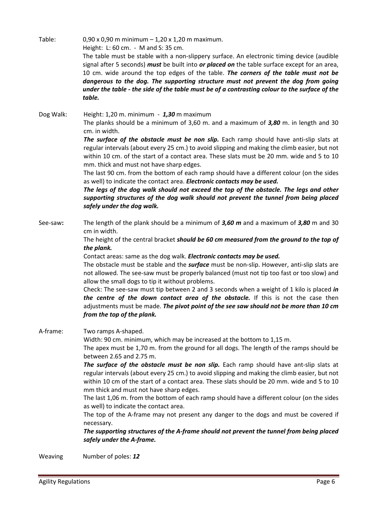Table: 0,90 x 0,90 m minimum – 1,20 x 1,20 m maximum. Height: L: 60 cm. - M and S: 35 cm. The table must be stable with a non-slippery surface. An electronic timing device (audible signal after 5 seconds) *must* be built into *or placed on* the table surface except for an area, 10 cm. wide around the top edges of the table. *The corners of the table must not be dangerous to the dog. The supporting structure must not prevent the dog from going under the table - the side of the table must be of a contrasting colour to the surface of the table.* 

Dog Walk: Height: 1,20 m. minimum - *1,30* m maximum The planks should be a minimum of 3,60 m. and a maximum of *3,80* m. in length and 30 cm. in width.

> *The surface of the obstacle must be non slip.* Each ramp should have anti-slip slats at regular intervals (about every 25 cm.) to avoid slipping and making the climb easier, but not within 10 cm. of the start of a contact area. These slats must be 20 mm. wide and 5 to 10 mm. thick and must not have sharp edges.

> The last 90 cm. from the bottom of each ramp should have a different colour (on the sides as well) to indicate the contact area. *Electronic contacts may be used.*

> *The legs of the dog walk should not exceed the top of the obstacle. The legs and other supporting structures of the dog walk should not prevent the tunnel from being placed safely under the dog walk.*

See-saw**:** The length of the plank should be a minimum of *3,60 m* and a maximum of *3,80* m and 30 cm in width.

> The height of the central bracket *should be 60 cm measured from the ground to the top of the plank.*

Contact areas: same as the dog walk. *Electronic contacts may be used.*

The obstacle must be stable and the *surface* must be non-slip. However, anti-slip slats are not allowed. The see-saw must be properly balanced (must not tip too fast or too slow) and allow the small dogs to tip it without problems.

Check: The see-saw must tip between 2 and 3 seconds when a weight of 1 kilo is placed *in the centre of the down contact area of the obstacle.* If this is not the case then adjustments must be made. *The pivot point of the see saw should not be more than 10 cm from the top of the plank.*

A-frame: Two ramps A-shaped.

Width: 90 cm. minimum, which may be increased at the bottom to 1,15 m.

 The apex must be 1,70 m. from the ground for all dogs. The length of the ramps should be between 2.65 and 2.75 m.

*The surface of the obstacle must be non slip.* Each ramp should have ant-slip slats at regular intervals (about every 25 cm.) to avoid slipping and making the climb easier, but not within 10 cm of the start of a contact area. These slats should be 20 mm. wide and 5 to 10 mm thick and must not have sharp edges.

 The last 1,06 m. from the bottom of each ramp should have a different colour (on the sides as well) to indicate the contact area.

 The top of the A-frame may not present any danger to the dogs and must be covered if necessary.

*The supporting structures of the A-frame should not prevent the tunnel from being placed safely under the A-frame.* 

Weaving Number of poles: *12*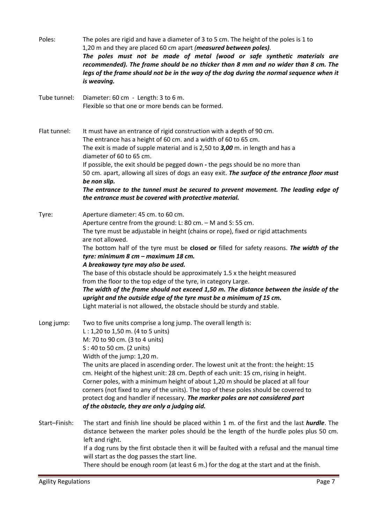| Poles:        | The poles are rigid and have a diameter of 3 to 5 cm. The height of the poles is 1 to<br>1,20 m and they are placed 60 cm apart (measured between poles).<br>The poles must not be made of metal (wood or safe synthetic materials are<br>recommended). The frame should be no thicker than 8 mm and no wider than 8 cm. The<br>legs of the frame should not be in the way of the dog during the normal sequence when it<br>is weaving.                                                                                                                                                                                                                                                                                                                                                 |
|---------------|-----------------------------------------------------------------------------------------------------------------------------------------------------------------------------------------------------------------------------------------------------------------------------------------------------------------------------------------------------------------------------------------------------------------------------------------------------------------------------------------------------------------------------------------------------------------------------------------------------------------------------------------------------------------------------------------------------------------------------------------------------------------------------------------|
| Tube tunnel:  | Diameter: 60 cm - Length: 3 to 6 m.<br>Flexible so that one or more bends can be formed.                                                                                                                                                                                                                                                                                                                                                                                                                                                                                                                                                                                                                                                                                                |
| Flat tunnel:  | It must have an entrance of rigid construction with a depth of 90 cm.<br>The entrance has a height of 60 cm. and a width of 60 to 65 cm.<br>The exit is made of supple material and is 2,50 to 3,00 m. in length and has a<br>diameter of 60 to 65 cm.<br>If possible, the exit should be pegged down - the pegs should be no more than<br>50 cm. apart, allowing all sizes of dogs an easy exit. The surface of the entrance floor must<br>be non slip.<br>The entrance to the tunnel must be secured to prevent movement. The leading edge of<br>the entrance must be covered with protective material.                                                                                                                                                                               |
| Tyre:         | Aperture diameter: 45 cm. to 60 cm.<br>Aperture centre from the ground: L: 80 cm. - M and S: 55 cm.<br>The tyre must be adjustable in height (chains or rope), fixed or rigid attachments<br>are not allowed.<br>The bottom half of the tyre must be closed or filled for safety reasons. The width of the<br>tyre: minimum 8 cm - maximum 18 cm.<br>A breakaway tyre may also be used.<br>The base of this obstacle should be approximately 1.5 x the height measured<br>from the floor to the top edge of the tyre, in category Large.<br>The width of the frame should not exceed 1,50 m. The distance between the inside of the<br>upright and the outside edge of the tyre must be a minimum of 15 cm.<br>Light material is not allowed, the obstacle should be sturdy and stable. |
| Long jump:    | Two to five units comprise a long jump. The overall length is:<br>$L: 1,20$ to 1,50 m. (4 to 5 units)<br>M: 70 to 90 cm. (3 to 4 units)<br>S: 40 to 50 cm. (2 units)<br>Width of the jump: 1,20 m.<br>The units are placed in ascending order. The lowest unit at the front: the height: 15<br>cm. Height of the highest unit: 28 cm. Depth of each unit: 15 cm, rising in height.<br>Corner poles, with a minimum height of about 1,20 m should be placed at all four<br>corners (not fixed to any of the units). The top of these poles should be covered to<br>protect dog and handler if necessary. The marker poles are not considered part<br>of the obstacle, they are only a judging aid.                                                                                       |
| Start-Finish: | The start and finish line should be placed within 1 m. of the first and the last hurdle. The<br>distance between the marker poles should be the length of the hurdle poles plus 50 cm.<br>left and right.<br>If a dog runs by the first obstacle then it will be faulted with a refusal and the manual time<br>will start as the dog passes the start line.                                                                                                                                                                                                                                                                                                                                                                                                                             |

There should be enough room (at least 6 m.) for the dog at the start and at the finish.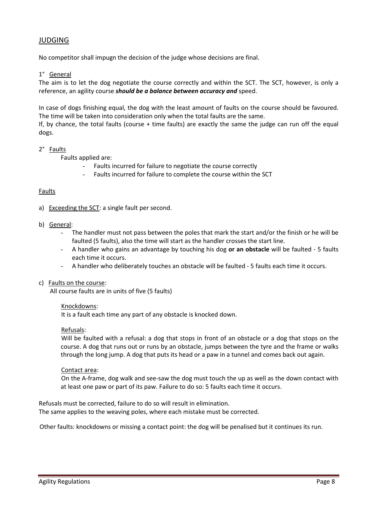# JUDGING

No competitor shall impugn the decision of the judge whose decisions are final.

# 1° General

The aim is to let the dog negotiate the course correctly and within the SCT. The SCT, however, is only a reference, an agility course *should be a balance between accuracy and* speed.

In case of dogs finishing equal, the dog with the least amount of faults on the course should be favoured. The time will be taken into consideration only when the total faults are the same.

If, by chance, the total faults (course + time faults) are exactly the same the judge can run off the equal dogs.

# 2° Faults

Faults applied are:

- Faults incurred for failure to negotiate the course correctly
- Faults incurred for failure to complete the course within the SCT

# **Faults**

a) Exceeding the SCT: a single fault per second.

#### b) General:

- The handler must not pass between the poles that mark the start and/or the finish or he will be faulted (5 faults), also the time will start as the handler crosses the start line.
- A handler who gains an advantage by touching his dog **or an obstacle** will be faulted 5 faults each time it occurs.
- A handler who deliberately touches an obstacle will be faulted 5 faults each time it occurs.

# c) Faults on the course:

All course faults are in units of five (5 faults)

#### Knockdowns:

It is a fault each time any part of any obstacle is knocked down.

#### Refusals:

Will be faulted with a refusal: a dog that stops in front of an obstacle or a dog that stops on the course. A dog that runs out or runs by an obstacle, jumps between the tyre and the frame or walks through the long jump. A dog that puts its head or a paw in a tunnel and comes back out again.

# Contact area:

On the A-frame, dog walk and see-saw the dog must touch the up as well as the down contact with at least one paw or part of its paw. Failure to do so: 5 faults each time it occurs.

Refusals must be corrected, failure to do so will result in elimination.

The same applies to the weaving poles, where each mistake must be corrected.

Other faults: knockdowns or missing a contact point: the dog will be penalised but it continues its run.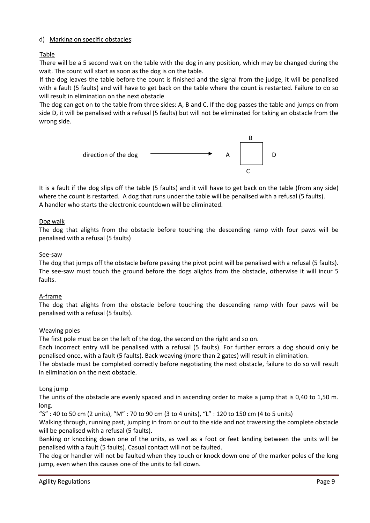# d) Marking on specific obstacles:

Table

There will be a 5 second wait on the table with the dog in any position, which may be changed during the wait. The count will start as soon as the dog is on the table.

If the dog leaves the table before the count is finished and the signal from the judge, it will be penalised with a fault (5 faults) and will have to get back on the table where the count is restarted. Failure to do so will result in elimination on the next obstacle

The dog can get on to the table from three sides: A, B and C. If the dog passes the table and jumps on from side D, it will be penalised with a refusal (5 faults) but will not be eliminated for taking an obstacle from the wrong side.



It is a fault if the dog slips off the table (5 faults) and it will have to get back on the table (from any side) where the count is restarted. A dog that runs under the table will be penalised with a refusal (5 faults). A handler who starts the electronic countdown will be eliminated.

# Dog walk

The dog that alights from the obstacle before touching the descending ramp with four paws will be penalised with a refusal (5 faults)

# See-saw

The dog that jumps off the obstacle before passing the pivot point will be penalised with a refusal (5 faults). The see-saw must touch the ground before the dogs alights from the obstacle, otherwise it will incur 5 faults.

# A-frame

The dog that alights from the obstacle before touching the descending ramp with four paws will be penalised with a refusal (5 faults).

# Weaving poles

The first pole must be on the left of the dog, the second on the right and so on.

Each incorrect entry will be penalised with a refusal (5 faults). For further errors a dog should only be penalised once, with a fault (5 faults). Back weaving (more than 2 gates) will result in elimination.

The obstacle must be completed correctly before negotiating the next obstacle, failure to do so will result in elimination on the next obstacle.

# Long jump

The units of the obstacle are evenly spaced and in ascending order to make a jump that is 0,40 to 1,50 m. long.

"S" : 40 to 50 cm (2 units), "M" : 70 to 90 cm (3 to 4 units), "L" : 120 to 150 cm (4 to 5 units)

Walking through, running past, jumping in from or out to the side and not traversing the complete obstacle will be penalised with a refusal (5 faults).

Banking or knocking down one of the units, as well as a foot or feet landing between the units will be penalised with a fault (5 faults). Casual contact will not be faulted.

The dog or handler will not be faulted when they touch or knock down one of the marker poles of the long jump, even when this causes one of the units to fall down.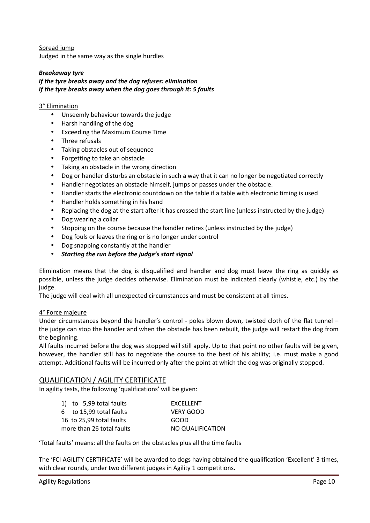Spread jump Judged in the same way as the single hurdles

# *Breakaway tyre*

# *If the tyre breaks away and the dog refuses: elimination If the tyre breaks away when the dog goes through it: 5 faults*

# 3° Elimination

- Unseemly behaviour towards the judge
- Harsh handling of the dog
- Exceeding the Maximum Course Time
- Three refusals
- Taking obstacles out of sequence
- Forgetting to take an obstacle
- Taking an obstacle in the wrong direction
- Dog or handler disturbs an obstacle in such a way that it can no longer be negotiated correctly
- Handler negotiates an obstacle himself, jumps or passes under the obstacle.
- Handler starts the electronic countdown on the table if a table with electronic timing is used
- Handler holds something in his hand
- Replacing the dog at the start after it has crossed the start line (unless instructed by the judge)
- Dog wearing a collar
- Stopping on the course because the handler retires (unless instructed by the judge)
- Dog fouls or leaves the ring or is no longer under control
- Dog snapping constantly at the handler
- *Starting the run before the judge's start signal*

Elimination means that the dog is disqualified and handler and dog must leave the ring as quickly as possible, unless the judge decides otherwise. Elimination must be indicated clearly (whistle, etc.) by the judge.

The judge will deal with all unexpected circumstances and must be consistent at all times.

# 4° Force majeure

Under circumstances beyond the handler's control - poles blown down, twisted cloth of the flat tunnel – the judge can stop the handler and when the obstacle has been rebuilt, the judge will restart the dog from the beginning.

All faults incurred before the dog was stopped will still apply. Up to that point no other faults will be given, however, the handler still has to negotiate the course to the best of his ability; i.e. must make a good attempt. Additional faults will be incurred only after the point at which the dog was originally stopped.

# QUALIFICATION / AGILITY CERTIFICATE

In agility tests, the following 'qualifications' will be given:

| 1) to 5,99 total faults   | <b>FXCFLLFNT</b> |
|---------------------------|------------------|
| 6 to 15,99 total faults   | VFRY GOOD        |
| 16 to 25,99 total faults  | GOOD             |
| more than 26 total faults | NO QUALIFICATION |

'Total faults' means: all the faults on the obstacles plus all the time faults

The 'FCI AGILITY CERTIFICATE' will be awarded to dogs having obtained the qualification 'Excellent' 3 times, with clear rounds, under two different judges in Agility 1 competitions.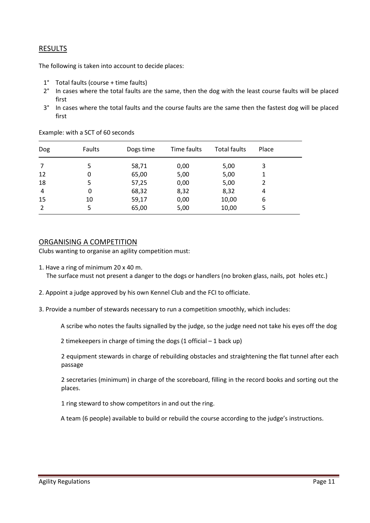# RESULTS

The following is taken into account to decide places:

- 1° Total faults (course + time faults)
- 2° In cases where the total faults are the same, then the dog with the least course faults will be placed first
- 3° In cases where the total faults and the course faults are the same then the fastest dog will be placed first

| <b>Dog</b>     | Faults | Dogs time | Time faults | <b>Total faults</b> | Place |
|----------------|--------|-----------|-------------|---------------------|-------|
| -7             | 5      | 58,71     | 0,00        | 5,00                | 3     |
| 12             | 0      | 65,00     | 5,00        | 5,00                |       |
| 18             | 5      | 57,25     | 0,00        | 5,00                | 2     |
| $\overline{4}$ | 0      | 68,32     | 8,32        | 8,32                | 4     |
| 15             | 10     | 59,17     | 0,00        | 10,00               | 6     |
| $\overline{2}$ | 5      | 65,00     | 5,00        | 10,00               | 5     |

Example: with a SCT of 60 seconds

# ORGANISING A COMPETITION

Clubs wanting to organise an agility competition must:

- 1. Have a ring of minimum 20 x 40 m. The surface must not present a danger to the dogs or handlers (no broken glass, nails, pot holes etc.)
- 2. Appoint a judge approved by his own Kennel Club and the FCI to officiate.
- 3. Provide a number of stewards necessary to run a competition smoothly, which includes:

A scribe who notes the faults signalled by the judge, so the judge need not take his eyes off the dog

2 timekeepers in charge of timing the dogs  $(1 \text{ official} - 1 \text{ back up})$ 

2 equipment stewards in charge of rebuilding obstacles and straightening the flat tunnel after each passage

2 secretaries (minimum) in charge of the scoreboard, filling in the record books and sorting out the places.

1 ring steward to show competitors in and out the ring.

A team (6 people) available to build or rebuild the course according to the judge's instructions.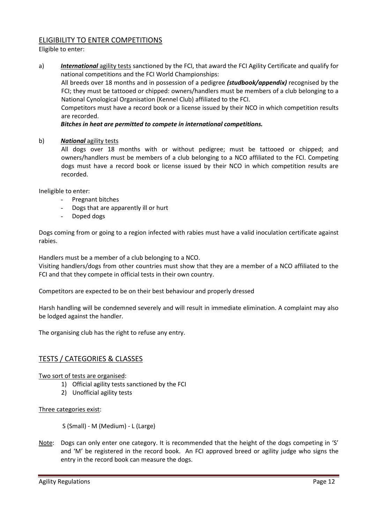# ELIGIBILITY TO ENTER COMPETITIONS

Eligible to enter:

a) *International* agility tests sanctioned by the FCI, that award the FCI Agility Certificate and qualify for national competitions and the FCI World Championships:

All breeds over 18 months and in possession of a pedigree *(studbook/appendix)* recognised by the FCI; they must be tattooed or chipped: owners/handlers must be members of a club belonging to a National Cynological Organisation (Kennel Club) affiliated to the FCI.

Competitors must have a record book or a license issued by their NCO in which competition results are recorded.

# *Bitches in heat are permitted to compete in international competitions.*

# b) *National* agility tests

All dogs over 18 months with or without pedigree; must be tattooed or chipped; and owners/handlers must be members of a club belonging to a NCO affiliated to the FCI. Competing dogs must have a record book or license issued by their NCO in which competition results are recorded.

Ineligible to enter:

- Pregnant bitches
- Dogs that are apparently ill or hurt
- Doped dogs

Dogs coming from or going to a region infected with rabies must have a valid inoculation certificate against rabies.

Handlers must be a member of a club belonging to a NCO.

Visiting handlers/dogs from other countries must show that they are a member of a NCO affiliated to the FCI and that they compete in official tests in their own country.

Competitors are expected to be on their best behaviour and properly dressed

Harsh handling will be condemned severely and will result in immediate elimination. A complaint may also be lodged against the handler.

The organising club has the right to refuse any entry.

# TESTS / CATEGORIES & CLASSES

Two sort of tests are organised:

- 1) Official agility tests sanctioned by the FCI
- 2) Unofficial agility tests

Three categories exist:

S (Small) - M (Medium) - L (Large)

Note: Dogs can only enter one category. It is recommended that the height of the dogs competing in 'S' and 'M' be registered in the record book. An FCI approved breed or agility judge who signs the entry in the record book can measure the dogs.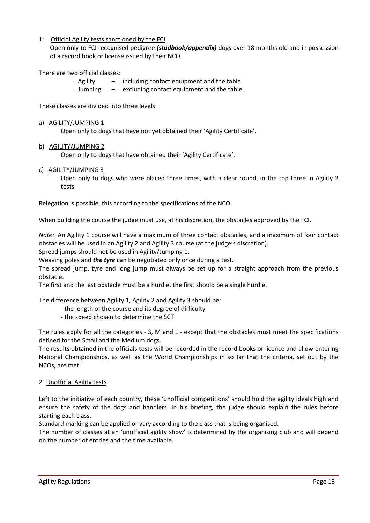# 1° Official Agility tests sanctioned by the FCI

Open only to FCI recognised pedigree *(studbook/appendix)* dogs over 18 months old and in possession of a record book or license issued by their NCO.

There are two official classes:

- Agility including contact equipment and the table.
- Jumping excluding contact equipment and the table.

These classes are divided into three levels:

#### a) AGILITY/JUMPING 1

Open only to dogs that have not yet obtained their 'Agility Certificate'.

# b) AGILITY/JUMPING 2

Open only to dogs that have obtained their 'Agility Certificate'.

# c) AGILITY/JUMPING 3

Open only to dogs who were placed three times, with a clear round, in the top three in Agility 2 tests.

Relegation is possible, this according to the specifications of the NCO.

When building the course the judge must use, at his discretion, the obstacles approved by the FCI.

*Note:* An Agility 1 course will have a maximum of three contact obstacles, and a maximum of four contact obstacles will be used in an Agility 2 and Agility 3 course (at the judge's discretion).

Spread jumps should not be used in Agility/Jumping 1.

Weaving poles and *the tyre* can be negotiated only once during a test.

The spread jump, tyre and long jump must always be set up for a straight approach from the previous obstacle.

The first and the last obstacle must be a hurdle, the first should be a single hurdle.

The difference between Agility 1, Agility 2 and Agility 3 should be:

- the length of the course and its degree of difficulty
- the speed chosen to determine the SCT

The rules apply for all the categories - S, M and L - except that the obstacles must meet the specifications defined for the Small and the Medium dogs.

The results obtained in the officials tests will be recorded in the record books or licence and allow entering National Championships, as well as the World Championships in so far that the criteria, set out by the NCOs, are met.

# 2° Unofficial Agility tests

Left to the initiative of each country, these 'unofficial competitions' should hold the agility ideals high and ensure the safety of the dogs and handlers. In his briefing, the judge should explain the rules before starting each class.

Standard marking can be applied or vary according to the class that is being organised.

The number of classes at an 'unofficial agility show' is determined by the organising club and will depend on the number of entries and the time available.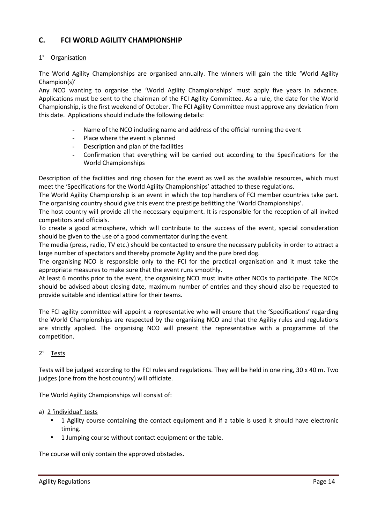# **C. FCI WORLD AGILITY CHAMPIONSHIP**

# 1° Organisation

The World Agility Championships are organised annually. The winners will gain the title 'World Agility Champion(s)'

Any NCO wanting to organise the 'World Agility Championships' must apply five years in advance. Applications must be sent to the chairman of the FCI Agility Committee. As a rule, the date for the World Championship, is the first weekend of October. The FCI Agility Committee must approve any deviation from this date. Applications should include the following details:

- Name of the NCO including name and address of the official running the event
- Place where the event is planned
- Description and plan of the facilities
- Confirmation that everything will be carried out according to the Specifications for the World Championships

Description of the facilities and ring chosen for the event as well as the available resources, which must meet the 'Specifications for the World Agility Championships' attached to these regulations.

The World Agility Championship is an event in which the top handlers of FCI member countries take part. The organising country should give this event the prestige befitting the 'World Championships'.

The host country will provide all the necessary equipment. It is responsible for the reception of all invited competitors and officials.

To create a good atmosphere, which will contribute to the success of the event, special consideration should be given to the use of a good commentator during the event.

The media (press, radio, TV etc.) should be contacted to ensure the necessary publicity in order to attract a large number of spectators and thereby promote Agility and the pure bred dog.

The organising NCO is responsible only to the FCI for the practical organisation and it must take the appropriate measures to make sure that the event runs smoothly.

At least 6 months prior to the event, the organising NCO must invite other NCOs to participate. The NCOs should be advised about closing date, maximum number of entries and they should also be requested to provide suitable and identical attire for their teams.

The FCI agility committee will appoint a representative who will ensure that the 'Specifications' regarding the World Championships are respected by the organising NCO and that the Agility rules and regulations are strictly applied. The organising NCO will present the representative with a programme of the competition.

# 2° Tests

Tests will be judged according to the FCI rules and regulations. They will be held in one ring, 30 x 40 m. Two judges (one from the host country) will officiate.

The World Agility Championships will consist of:

# a) 2 'individual' tests

- 1 Agility course containing the contact equipment and if a table is used it should have electronic timing.
- 1 Jumping course without contact equipment or the table.

The course will only contain the approved obstacles.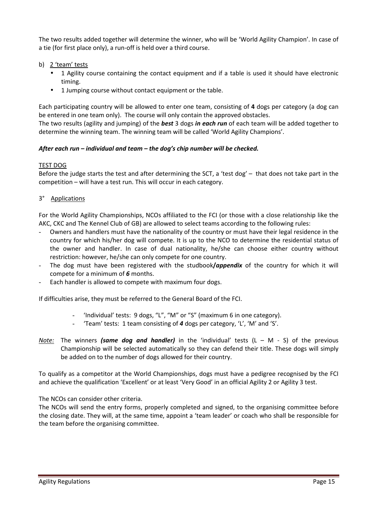The two results added together will determine the winner, who will be 'World Agility Champion'. In case of a tie (for first place only), a run-off is held over a third course.

- b) 2 'team' tests
	- 1 Agility course containing the contact equipment and if a table is used it should have electronic timing.
	- 1 Jumping course without contact equipment or the table.

Each participating country will be allowed to enter one team, consisting of **4** dogs per category (a dog can be entered in one team only). The course will only contain the approved obstacles.

The two results (agility and jumping) of the *best* 3 dogs *in each run* of each team will be added together to determine the winning team. The winning team will be called 'World Agility Champions'.

# *After each run – individual and team – the dog's chip number will be checked.*

# TEST DOG

Before the judge starts the test and after determining the SCT, a 'test dog' – that does not take part in the competition – will have a test run. This will occur in each category.

# 3° Applications

For the World Agility Championships, NCOs affiliated to the FCI (or those with a close relationship like the AKC, CKC and The Kennel Club of GB) are allowed to select teams according to the following rules:

- Owners and handlers must have the nationality of the country or must have their legal residence in the country for which his/her dog will compete. It is up to the NCO to determine the residential status of the owner and handler. In case of dual nationality, he/she can choose either country without restriction: however, he/she can only compete for one country.
- The dog must have been registered with the studbook**/***appendix* of the country for which it will compete for a minimum of *6* months.
- Each handler is allowed to compete with maximum four dogs.

If difficulties arise, they must be referred to the General Board of the FCI.

- 'Individual' tests: 9 dogs, "L", "M" or "S" (maximum 6 in one category).
- 'Team' tests: 1 team consisting of *4* dogs per category, 'L', 'M' and 'S'.
- *Note:* The winners *(same dog and handler)* in the 'individual' tests (L M S) of the previous Championship will be selected automatically so they can defend their title. These dogs will simply be added on to the number of dogs allowed for their country.

To qualify as a competitor at the World Championships, dogs must have a pedigree recognised by the FCI and achieve the qualification 'Excellent' or at least 'Very Good' in an official Agility 2 or Agility 3 test.

The NCOs can consider other criteria.

The NCOs will send the entry forms, properly completed and signed, to the organising committee before the closing date. They will, at the same time, appoint a 'team leader' or coach who shall be responsible for the team before the organising committee.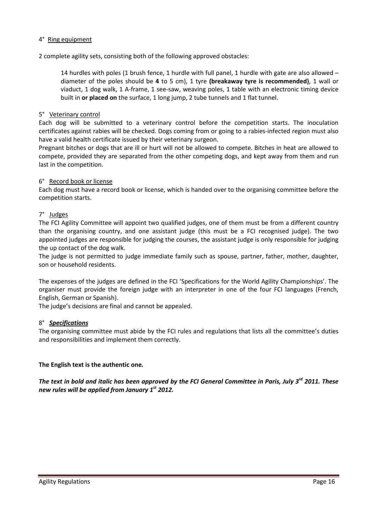# 4° Ring equipment

2 complete agility sets, consisting both of the following approved obstacles:

14 hurdles with poles (1 brush fence, 1 hurdle with full panel, 1 hurdle with gate are also allowed – diameter of the poles should be **4** to 5 cm), 1 tyre **(breakaway tyre is recommended)**, 1 wall or viaduct, 1 dog walk, 1 A-frame, 1 see-saw, weaving poles, 1 table with an electronic timing device built in **or placed on** the surface, 1 long jump, 2 tube tunnels and 1 flat tunnel.

# 5° Veterinary control

Each dog will be submitted to a veterinary control before the competition starts. The inoculation certificates against rabies will be checked. Dogs coming from or going to a rabies-infected region must also have a valid health certificate issued by their veterinary surgeon.

Pregnant bitches or dogs that are ill or hurt will not be allowed to compete. Bitches in heat are allowed to compete, provided they are separated from the other competing dogs, and kept away from them and run last in the competition.

# 6° Record book or license

Each dog must have a record book or license, which is handed over to the organising committee before the competition starts.

# 7° Judges

The FCI Agility Committee will appoint two qualified judges, one of them must be from a different country than the organising country, and one assistant judge (this must be a FCI recognised judge). The two appointed judges are responsible for judging the courses, the assistant judge is only responsible for judging the up contact of the dog walk.

The judge is not permitted to judge immediate family such as spouse, partner, father, mother, daughter, son or household residents.

The expenses of the judges are defined in the FCI 'Specifications for the World Agility Championships'. The organiser must provide the foreign judge with an interpreter in one of the four FCI languages (French, English, German or Spanish).

The judge's decisions are final and cannot be appealed.

# 8° *Specifications*

The organising committee must abide by the FCI rules and regulations that lists all the committee's duties and responsibilities and implement them correctly.

# **The English text is the authentic one***.*

*The text in bold and italic has been approved by the FCI General Committee in Paris, July 3rd 2011. These new rules will be applied from January 1st 2012.*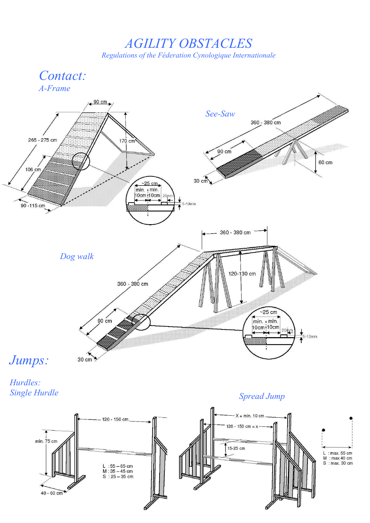*AGILITY OBSTACLES Regulations of the Féderation Cynologique Internationale* 





*Single Hurdle Spread Jump*